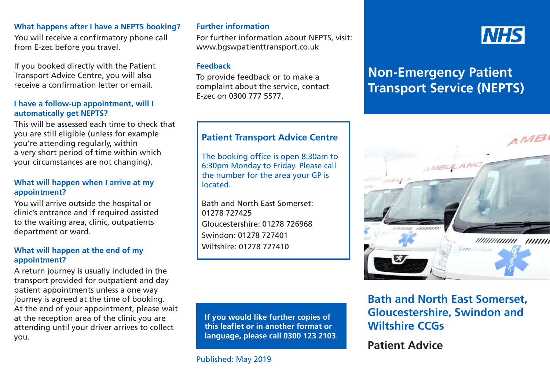### **What happens after I have a NEPTS booking?**

You will receive a confirmatory phone call from E-zec before you travel.

If you booked directly with the Patient Transport Advice Centre, you will also receive a confirmation letter or email.

### **I have a follow-up appointment, will I automatically get NEPTS?**

This will be assessed each time to check that you are still eligible (unless for example you're attending regularly, within a very short period of time within which your circumstances are not changing).

### **What will happen when I arrive at my appointment?**

You will arrive outside the hospital or clinic's entrance and if required assisted to the waiting area, clinic, outpatients department or ward.

### **What will happen at the end of my appointment?**

A return journey is usually included in the transport provided for outpatient and day patient appointments unless a one way journey is agreed at the time of booking. At the end of your appointment, please wait at the reception area of the clinic you are attending until your driver arrives to collect you.

### **Further information**

For further information about NEPTS, visit: www.bgswpatienttransport.co.uk

#### **Feedback**

To provide feedback or to make a complaint about the service, contact E-zec on 0300 777 5577.

### **Patient Transport Advice Centre**

The booking office is open 8:30am to 6:30pm Monday to Friday. Please call the number for the area your GP is located.

Bath and North East Somerset: 01278 727425 Gloucestershire: 01278 726968 Swindon: 01278 727401 Wiltshire: 01278 727410

**If you would like further copies of this leaflet or in another format or language, please call 0300 123 2103**.

# **NHS**

# **Non-Emergency Patient Transport Service (NEPTS)**



## **Bath and North East Somerset, Gloucestershire, Swindon and Wiltshire CCGs**

**Patient Advice**